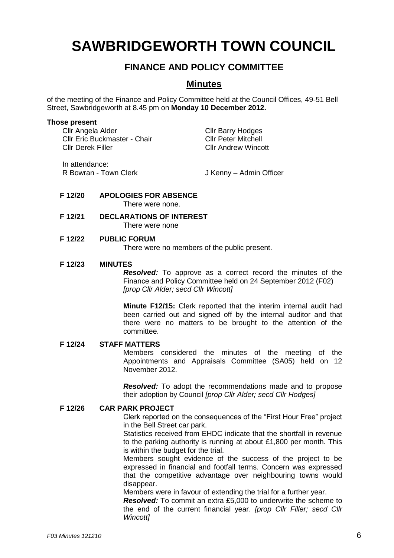# **SAWBRIDGEWORTH TOWN COUNCIL**

## **FINANCE AND POLICY COMMITTEE**

### **Minutes**

of the meeting of the Finance and Policy Committee held at the Council Offices, 49-51 Bell Street, Sawbridgeworth at 8.45 pm on **Monday 10 December 2012.**

#### **Those present**

| Cllr Angela Alder            | <b>Cllr Barry Hodges</b>   |
|------------------------------|----------------------------|
| Cllr Eric Buckmaster - Chair | <b>Cllr Peter Mitchell</b> |
| <b>Cllr Derek Filler</b>     | <b>Cllr Andrew Wincott</b> |
| يممموم مسمئنه ما             |                            |

In attendance:

R Bowran - Town Clerk J Kenny – Admin Officer

# **F 12/20 APOLOGIES FOR ABSENCE**

There were none.

**F 12/21 DECLARATIONS OF INTEREST** There were none

#### **F 12/22 PUBLIC FORUM**

There were no members of the public present.

#### **F 12/23 MINUTES**

*Resolved:* To approve as a correct record the minutes of the Finance and Policy Committee held on 24 September 2012 (F02) *[prop Cllr Alder; secd Cllr Wincott]*

**Minute F12/15:** Clerk reported that the interim internal audit had been carried out and signed off by the internal auditor and that there were no matters to be brought to the attention of the committee.

#### **F 12/24 STAFF MATTERS**

Members considered the minutes of the meeting of the Appointments and Appraisals Committee (SA05) held on 12 November 2012.

*Resolved:* To adopt the recommendations made and to propose their adoption by Council *[prop Cllr Alder; secd Cllr Hodges]*

#### **F 12/26 CAR PARK PROJECT**

Clerk reported on the consequences of the "First Hour Free" project in the Bell Street car park.

Statistics received from EHDC indicate that the shortfall in revenue to the parking authority is running at about £1,800 per month. This is within the budget for the trial.

Members sought evidence of the success of the project to be expressed in financial and footfall terms. Concern was expressed that the competitive advantage over neighbouring towns would disappear.

Members were in favour of extending the trial for a further year.

*Resolved:* To commit an extra £5,000 to underwrite the scheme to the end of the current financial year. *[prop Cllr Filler; secd Cllr Wincott]*